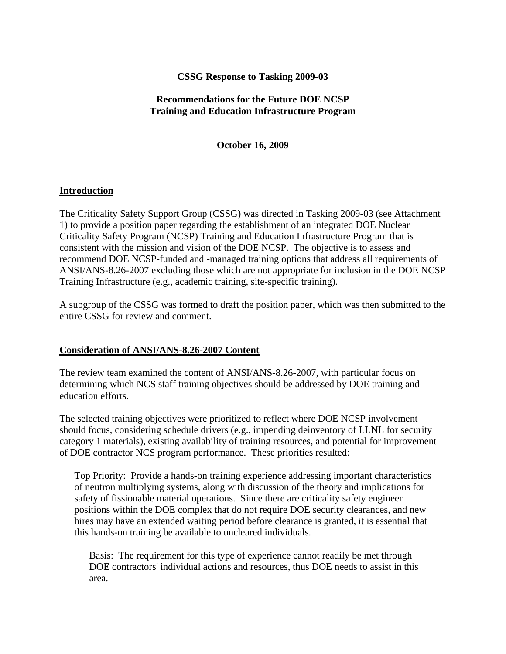## **CSSG Response to Tasking 2009-03**

## **Recommendations for the Future DOE NCSP Training and Education Infrastructure Program**

**October 16, 2009** 

### **Introduction**

The Criticality Safety Support Group (CSSG) was directed in Tasking 2009-03 (see Attachment 1) to provide a position paper regarding the establishment of an integrated DOE Nuclear Criticality Safety Program (NCSP) Training and Education Infrastructure Program that is consistent with the mission and vision of the DOE NCSP. The objective is to assess and recommend DOE NCSP-funded and -managed training options that address all requirements of ANSI/ANS-8.26-2007 excluding those which are not appropriate for inclusion in the DOE NCSP Training Infrastructure (e.g., academic training, site-specific training).

A subgroup of the CSSG was formed to draft the position paper, which was then submitted to the entire CSSG for review and comment.

### **Consideration of ANSI/ANS-8.26-2007 Content**

The review team examined the content of ANSI/ANS-8.26-2007, with particular focus on determining which NCS staff training objectives should be addressed by DOE training and education efforts.

The selected training objectives were prioritized to reflect where DOE NCSP involvement should focus, considering schedule drivers (e.g., impending deinventory of LLNL for security category 1 materials), existing availability of training resources, and potential for improvement of DOE contractor NCS program performance. These priorities resulted:

Top Priority: Provide a hands-on training experience addressing important characteristics of neutron multiplying systems, along with discussion of the theory and implications for safety of fissionable material operations. Since there are criticality safety engineer positions within the DOE complex that do not require DOE security clearances, and new hires may have an extended waiting period before clearance is granted, it is essential that this hands-on training be available to uncleared individuals.

Basis: The requirement for this type of experience cannot readily be met through DOE contractors' individual actions and resources, thus DOE needs to assist in this area.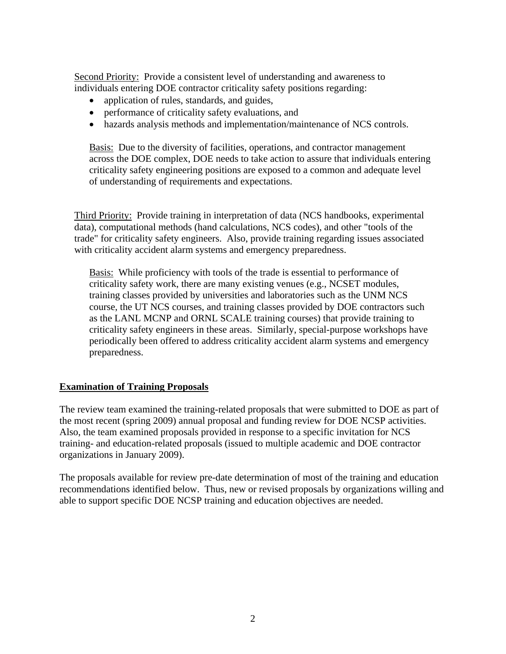Second Priority: Provide a consistent level of understanding and awareness to individuals entering DOE contractor criticality safety positions regarding:

- application of rules, standards, and guides,
- performance of criticality safety evaluations, and
- hazards analysis methods and implementation/maintenance of NCS controls.

Basis: Due to the diversity of facilities, operations, and contractor management across the DOE complex, DOE needs to take action to assure that individuals entering criticality safety engineering positions are exposed to a common and adequate level of understanding of requirements and expectations.

Third Priority: Provide training in interpretation of data (NCS handbooks, experimental data), computational methods (hand calculations, NCS codes), and other "tools of the trade" for criticality safety engineers. Also, provide training regarding issues associated with criticality accident alarm systems and emergency preparedness.

Basis: While proficiency with tools of the trade is essential to performance of criticality safety work, there are many existing venues (e.g., NCSET modules, training classes provided by universities and laboratories such as the UNM NCS course, the UT NCS courses, and training classes provided by DOE contractors such as the LANL MCNP and ORNL SCALE training courses) that provide training to criticality safety engineers in these areas. Similarly, special-purpose workshops have periodically been offered to address criticality accident alarm systems and emergency preparedness.

### **Examination of Training Proposals**

The review team examined the training-related proposals that were submitted to DOE as part of the most recent (spring 2009) annual proposal and funding review for DOE NCSP activities. Also, the team examined proposals provided in response to a specific invitation for NCS training- and education-related proposals (issued to multiple academic and DOE contractor organizations in January 2009).

The proposals available for review pre-date determination of most of the training and education recommendations identified below. Thus, new or revised proposals by organizations willing and able to support specific DOE NCSP training and education objectives are needed.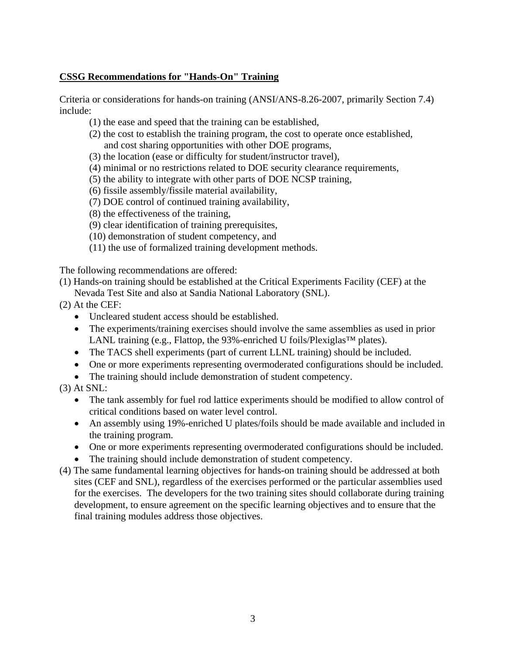## **CSSG Recommendations for "Hands-On" Training**

Criteria or considerations for hands-on training (ANSI/ANS-8.26-2007, primarily Section 7.4) include:

- (1) the ease and speed that the training can be established,
- (2) the cost to establish the training program, the cost to operate once established, and cost sharing opportunities with other DOE programs,
- (3) the location (ease or difficulty for student/instructor travel),
- (4) minimal or no restrictions related to DOE security clearance requirements,
- (5) the ability to integrate with other parts of DOE NCSP training,
- (6) fissile assembly/fissile material availability,
- (7) DOE control of continued training availability,
- (8) the effectiveness of the training,
- (9) clear identification of training prerequisites,
- (10) demonstration of student competency, and
- (11) the use of formalized training development methods.

The following recommendations are offered:

- (1) Hands-on training should be established at the Critical Experiments Facility (CEF) at the Nevada Test Site and also at Sandia National Laboratory (SNL).
- (2) At the CEF:
	- Uncleared student access should be established.
	- The experiments/training exercises should involve the same assemblies as used in prior LANL training (e.g., Flattop, the 93%-enriched U foils/Plexiglas™ plates).
	- The TACS shell experiments (part of current LLNL training) should be included.
	- One or more experiments representing overmoderated configurations should be included.
	- The training should include demonstration of student competency.
- (3) At SNL:
	- The tank assembly for fuel rod lattice experiments should be modified to allow control of critical conditions based on water level control.
	- An assembly using 19%-enriched U plates/foils should be made available and included in the training program.
	- One or more experiments representing overmoderated configurations should be included.
	- The training should include demonstration of student competency.
- (4) The same fundamental learning objectives for hands-on training should be addressed at both sites (CEF and SNL), regardless of the exercises performed or the particular assemblies used for the exercises. The developers for the two training sites should collaborate during training development, to ensure agreement on the specific learning objectives and to ensure that the final training modules address those objectives.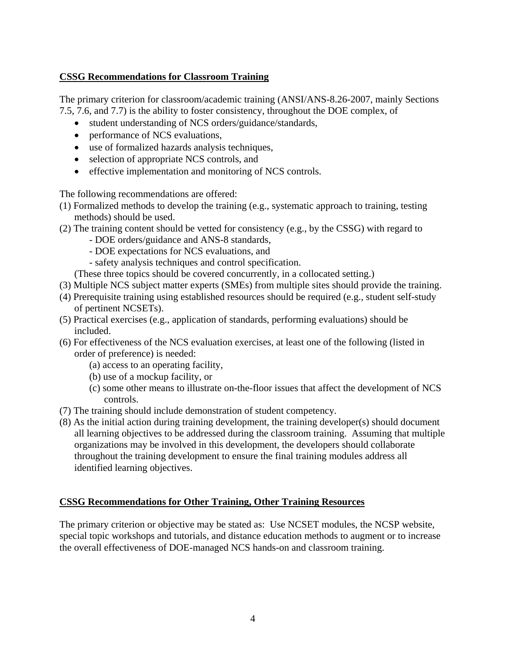# **CSSG Recommendations for Classroom Training**

The primary criterion for classroom/academic training (ANSI/ANS-8.26-2007, mainly Sections 7.5, 7.6, and 7.7) is the ability to foster consistency, throughout the DOE complex, of

- student understanding of NCS orders/guidance/standards,
- performance of NCS evaluations,
- use of formalized hazards analysis techniques,
- selection of appropriate NCS controls, and
- effective implementation and monitoring of NCS controls.

The following recommendations are offered:

- (1) Formalized methods to develop the training (e.g., systematic approach to training, testing methods) should be used.
- (2) The training content should be vetted for consistency (e.g., by the CSSG) with regard to
	- DOE orders/guidance and ANS-8 standards,
	- DOE expectations for NCS evaluations, and
	- safety analysis techniques and control specification.
	- (These three topics should be covered concurrently, in a collocated setting.)
- (3) Multiple NCS subject matter experts (SMEs) from multiple sites should provide the training.
- (4) Prerequisite training using established resources should be required (e.g., student self-study of pertinent NCSETs).
- (5) Practical exercises (e.g., application of standards, performing evaluations) should be included.
- (6) For effectiveness of the NCS evaluation exercises, at least one of the following (listed in order of preference) is needed:
	- (a) access to an operating facility,
	- (b) use of a mockup facility, or
	- (c) some other means to illustrate on-the-floor issues that affect the development of NCS controls.
- (7) The training should include demonstration of student competency.
- (8) As the initial action during training development, the training developer(s) should document all learning objectives to be addressed during the classroom training. Assuming that multiple organizations may be involved in this development, the developers should collaborate throughout the training development to ensure the final training modules address all identified learning objectives.

### **CSSG Recommendations for Other Training, Other Training Resources**

The primary criterion or objective may be stated as: Use NCSET modules, the NCSP website, special topic workshops and tutorials, and distance education methods to augment or to increase the overall effectiveness of DOE-managed NCS hands-on and classroom training.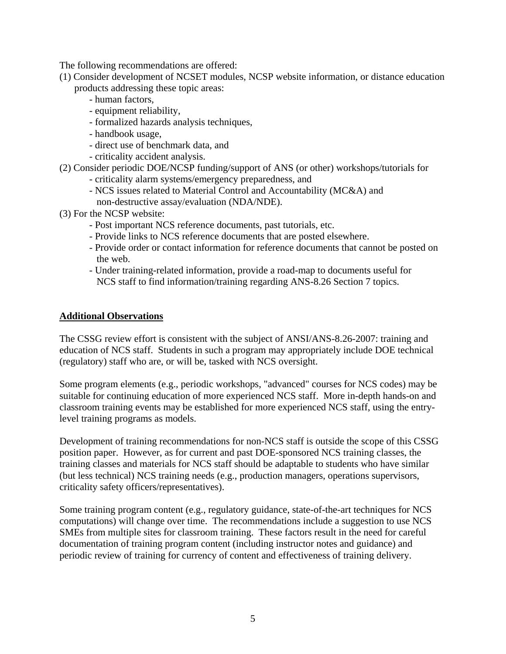The following recommendations are offered:

- (1) Consider development of NCSET modules, NCSP website information, or distance education products addressing these topic areas:
	- human factors,
	- equipment reliability,
	- formalized hazards analysis techniques,
	- handbook usage,
	- direct use of benchmark data, and
	- criticality accident analysis.

## (2) Consider periodic DOE/NCSP funding/support of ANS (or other) workshops/tutorials for

- criticality alarm systems/emergency preparedness, and
- NCS issues related to Material Control and Accountability (MC&A) and
- non-destructive assay/evaluation (NDA/NDE).
- (3) For the NCSP website:
	- Post important NCS reference documents, past tutorials, etc.
	- Provide links to NCS reference documents that are posted elsewhere.
	- Provide order or contact information for reference documents that cannot be posted on the web.
	- Under training-related information, provide a road-map to documents useful for NCS staff to find information/training regarding ANS-8.26 Section 7 topics.

## **Additional Observations**

The CSSG review effort is consistent with the subject of ANSI/ANS-8.26-2007: training and education of NCS staff. Students in such a program may appropriately include DOE technical (regulatory) staff who are, or will be, tasked with NCS oversight.

Some program elements (e.g., periodic workshops, "advanced" courses for NCS codes) may be suitable for continuing education of more experienced NCS staff. More in-depth hands-on and classroom training events may be established for more experienced NCS staff, using the entrylevel training programs as models.

Development of training recommendations for non-NCS staff is outside the scope of this CSSG position paper. However, as for current and past DOE-sponsored NCS training classes, the training classes and materials for NCS staff should be adaptable to students who have similar (but less technical) NCS training needs (e.g., production managers, operations supervisors, criticality safety officers/representatives).

Some training program content (e.g., regulatory guidance, state-of-the-art techniques for NCS computations) will change over time. The recommendations include a suggestion to use NCS SMEs from multiple sites for classroom training. These factors result in the need for careful documentation of training program content (including instructor notes and guidance) and periodic review of training for currency of content and effectiveness of training delivery.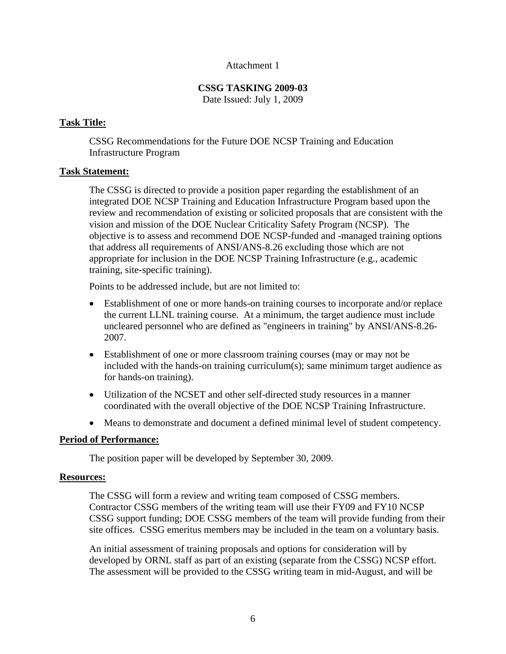### Attachment 1

# **CSSG TASKING 2009-03**

Date Issued: July 1, 2009

## **Task Title:**

CSSG Recommendations for the Future DOE NCSP Training and Education Infrastructure Program

## **Task Statement:**

The CSSG is directed to provide a position paper regarding the establishment of an integrated DOE NCSP Training and Education Infrastructure Program based upon the review and recommendation of existing or solicited proposals that are consistent with the vision and mission of the DOE Nuclear Criticality Safety Program (NCSP). The objective is to assess and recommend DOE NCSP-funded and -managed training options that address all requirements of ANSI/ANS-8.26 excluding those which are not appropriate for inclusion in the DOE NCSP Training Infrastructure (e.g., academic training, site-specific training).

Points to be addressed include, but are not limited to:

- Establishment of one or more hands-on training courses to incorporate and/or replace the current LLNL training course. At a minimum, the target audience must include uncleared personnel who are defined as "engineers in training" by ANSI/ANS-8.26- 2007.
- Establishment of one or more classroom training courses (may or may not be included with the hands-on training curriculum(s); same minimum target audience as for hands-on training).
- Utilization of the NCSET and other self-directed study resources in a manner coordinated with the overall objective of the DOE NCSP Training Infrastructure.
- Means to demonstrate and document a defined minimal level of student competency.

## **Period of Performance:**

The position paper will be developed by September 30, 2009.

### **Resources:**

The CSSG will form a review and writing team composed of CSSG members. Contractor CSSG members of the writing team will use their FY09 and FY10 NCSP CSSG support funding; DOE CSSG members of the team will provide funding from their site offices. CSSG emeritus members may be included in the team on a voluntary basis.

An initial assessment of training proposals and options for consideration will by developed by ORNL staff as part of an existing (separate from the CSSG) NCSP effort. The assessment will be provided to the CSSG writing team in mid-August, and will be